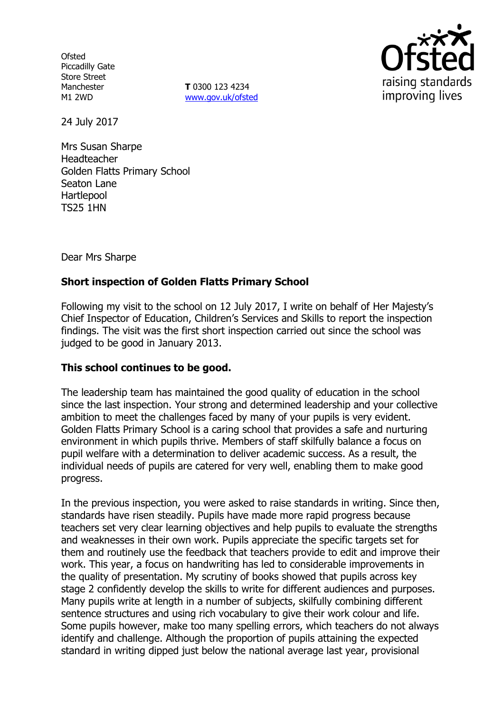**Ofsted** Piccadilly Gate Store Street Manchester M1 2WD

**T** 0300 123 4234 www.gov.uk/ofsted



24 July 2017

Mrs Susan Sharpe Headteacher Golden Flatts Primary School Seaton Lane Hartlepool TS25 1HN

Dear Mrs Sharpe

# **Short inspection of Golden Flatts Primary School**

Following my visit to the school on 12 July 2017, I write on behalf of Her Majesty's Chief Inspector of Education, Children's Services and Skills to report the inspection findings. The visit was the first short inspection carried out since the school was judged to be good in January 2013.

## **This school continues to be good.**

The leadership team has maintained the good quality of education in the school since the last inspection. Your strong and determined leadership and your collective ambition to meet the challenges faced by many of your pupils is very evident. Golden Flatts Primary School is a caring school that provides a safe and nurturing environment in which pupils thrive. Members of staff skilfully balance a focus on pupil welfare with a determination to deliver academic success. As a result, the individual needs of pupils are catered for very well, enabling them to make good progress.

In the previous inspection, you were asked to raise standards in writing. Since then, standards have risen steadily. Pupils have made more rapid progress because teachers set very clear learning objectives and help pupils to evaluate the strengths and weaknesses in their own work. Pupils appreciate the specific targets set for them and routinely use the feedback that teachers provide to edit and improve their work. This year, a focus on handwriting has led to considerable improvements in the quality of presentation. My scrutiny of books showed that pupils across key stage 2 confidently develop the skills to write for different audiences and purposes. Many pupils write at length in a number of subjects, skilfully combining different sentence structures and using rich vocabulary to give their work colour and life. Some pupils however, make too many spelling errors, which teachers do not always identify and challenge. Although the proportion of pupils attaining the expected standard in writing dipped just below the national average last year, provisional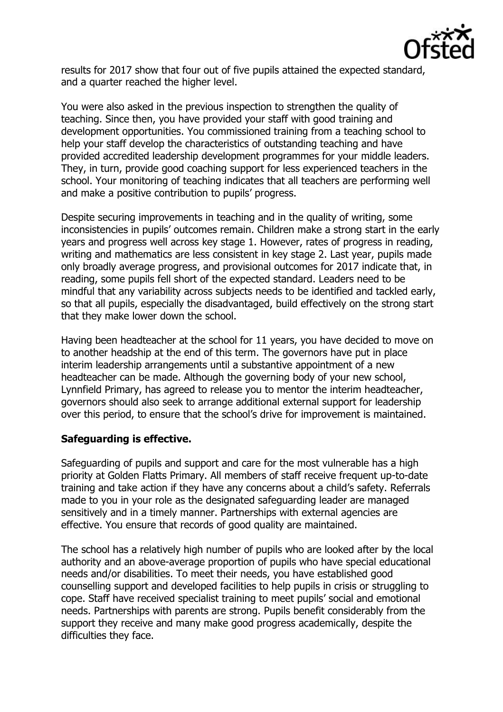

results for 2017 show that four out of five pupils attained the expected standard, and a quarter reached the higher level.

You were also asked in the previous inspection to strengthen the quality of teaching. Since then, you have provided your staff with good training and development opportunities. You commissioned training from a teaching school to help your staff develop the characteristics of outstanding teaching and have provided accredited leadership development programmes for your middle leaders. They, in turn, provide good coaching support for less experienced teachers in the school. Your monitoring of teaching indicates that all teachers are performing well and make a positive contribution to pupils' progress.

Despite securing improvements in teaching and in the quality of writing, some inconsistencies in pupils' outcomes remain. Children make a strong start in the early years and progress well across key stage 1. However, rates of progress in reading, writing and mathematics are less consistent in key stage 2. Last year, pupils made only broadly average progress, and provisional outcomes for 2017 indicate that, in reading, some pupils fell short of the expected standard. Leaders need to be mindful that any variability across subjects needs to be identified and tackled early, so that all pupils, especially the disadvantaged, build effectively on the strong start that they make lower down the school.

Having been headteacher at the school for 11 years, you have decided to move on to another headship at the end of this term. The governors have put in place interim leadership arrangements until a substantive appointment of a new headteacher can be made. Although the governing body of your new school, Lynnfield Primary, has agreed to release you to mentor the interim headteacher, governors should also seek to arrange additional external support for leadership over this period, to ensure that the school's drive for improvement is maintained.

## **Safeguarding is effective.**

Safeguarding of pupils and support and care for the most vulnerable has a high priority at Golden Flatts Primary. All members of staff receive frequent up-to-date training and take action if they have any concerns about a child's safety. Referrals made to you in your role as the designated safeguarding leader are managed sensitively and in a timely manner. Partnerships with external agencies are effective. You ensure that records of good quality are maintained.

The school has a relatively high number of pupils who are looked after by the local authority and an above-average proportion of pupils who have special educational needs and/or disabilities. To meet their needs, you have established good counselling support and developed facilities to help pupils in crisis or struggling to cope. Staff have received specialist training to meet pupils' social and emotional needs. Partnerships with parents are strong. Pupils benefit considerably from the support they receive and many make good progress academically, despite the difficulties they face.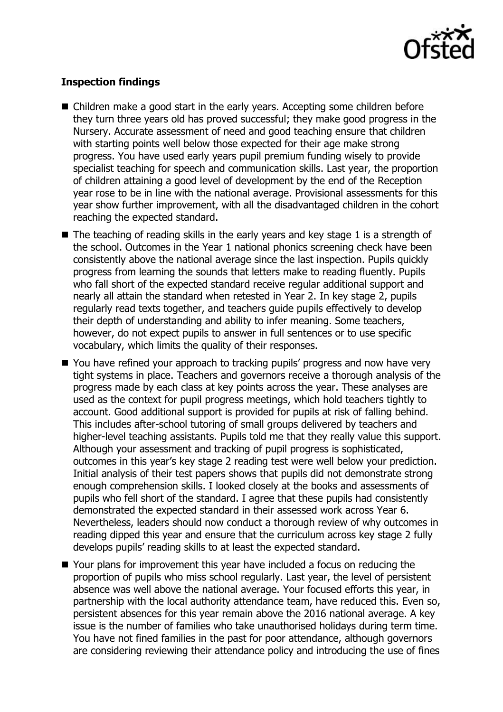

# **Inspection findings**

- Children make a good start in the early years. Accepting some children before they turn three years old has proved successful; they make good progress in the Nursery. Accurate assessment of need and good teaching ensure that children with starting points well below those expected for their age make strong progress. You have used early years pupil premium funding wisely to provide specialist teaching for speech and communication skills. Last year, the proportion of children attaining a good level of development by the end of the Reception year rose to be in line with the national average. Provisional assessments for this year show further improvement, with all the disadvantaged children in the cohort reaching the expected standard.
- $\blacksquare$  The teaching of reading skills in the early years and key stage 1 is a strength of the school. Outcomes in the Year 1 national phonics screening check have been consistently above the national average since the last inspection. Pupils quickly progress from learning the sounds that letters make to reading fluently. Pupils who fall short of the expected standard receive regular additional support and nearly all attain the standard when retested in Year 2. In key stage 2, pupils regularly read texts together, and teachers guide pupils effectively to develop their depth of understanding and ability to infer meaning. Some teachers, however, do not expect pupils to answer in full sentences or to use specific vocabulary, which limits the quality of their responses.
- You have refined your approach to tracking pupils' progress and now have very tight systems in place. Teachers and governors receive a thorough analysis of the progress made by each class at key points across the year. These analyses are used as the context for pupil progress meetings, which hold teachers tightly to account. Good additional support is provided for pupils at risk of falling behind. This includes after-school tutoring of small groups delivered by teachers and higher-level teaching assistants. Pupils told me that they really value this support. Although your assessment and tracking of pupil progress is sophisticated, outcomes in this year's key stage 2 reading test were well below your prediction. Initial analysis of their test papers shows that pupils did not demonstrate strong enough comprehension skills. I looked closely at the books and assessments of pupils who fell short of the standard. I agree that these pupils had consistently demonstrated the expected standard in their assessed work across Year 6. Nevertheless, leaders should now conduct a thorough review of why outcomes in reading dipped this year and ensure that the curriculum across key stage 2 fully develops pupils' reading skills to at least the expected standard.
- Your plans for improvement this year have included a focus on reducing the proportion of pupils who miss school regularly. Last year, the level of persistent absence was well above the national average. Your focused efforts this year, in partnership with the local authority attendance team, have reduced this. Even so, persistent absences for this year remain above the 2016 national average. A key issue is the number of families who take unauthorised holidays during term time. You have not fined families in the past for poor attendance, although governors are considering reviewing their attendance policy and introducing the use of fines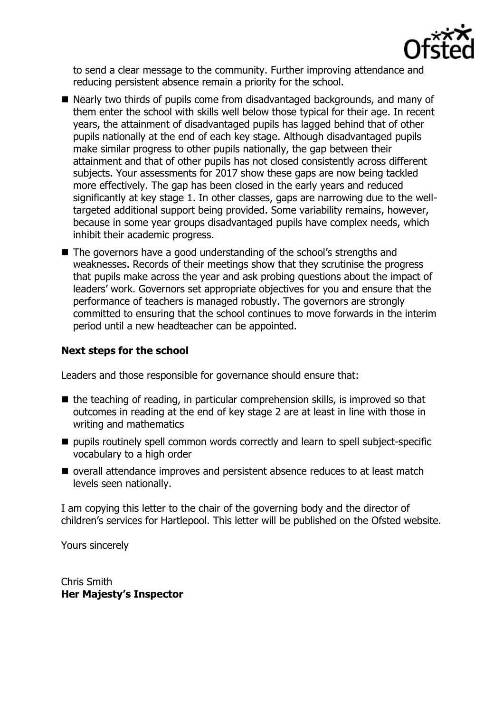

to send a clear message to the community. Further improving attendance and reducing persistent absence remain a priority for the school.

- Nearly two thirds of pupils come from disadvantaged backgrounds, and many of them enter the school with skills well below those typical for their age. In recent years, the attainment of disadvantaged pupils has lagged behind that of other pupils nationally at the end of each key stage. Although disadvantaged pupils make similar progress to other pupils nationally, the gap between their attainment and that of other pupils has not closed consistently across different subjects. Your assessments for 2017 show these gaps are now being tackled more effectively. The gap has been closed in the early years and reduced significantly at key stage 1. In other classes, gaps are narrowing due to the welltargeted additional support being provided. Some variability remains, however, because in some year groups disadvantaged pupils have complex needs, which inhibit their academic progress.
- The governors have a good understanding of the school's strengths and weaknesses. Records of their meetings show that they scrutinise the progress that pupils make across the year and ask probing questions about the impact of leaders' work. Governors set appropriate objectives for you and ensure that the performance of teachers is managed robustly. The governors are strongly committed to ensuring that the school continues to move forwards in the interim period until a new headteacher can be appointed.

# **Next steps for the school**

Leaders and those responsible for governance should ensure that:

- $\blacksquare$  the teaching of reading, in particular comprehension skills, is improved so that outcomes in reading at the end of key stage 2 are at least in line with those in writing and mathematics
- pupils routinely spell common words correctly and learn to spell subject-specific vocabulary to a high order
- overall attendance improves and persistent absence reduces to at least match levels seen nationally.

I am copying this letter to the chair of the governing body and the director of children's services for Hartlepool. This letter will be published on the Ofsted website.

Yours sincerely

Chris Smith **Her Majesty's Inspector**